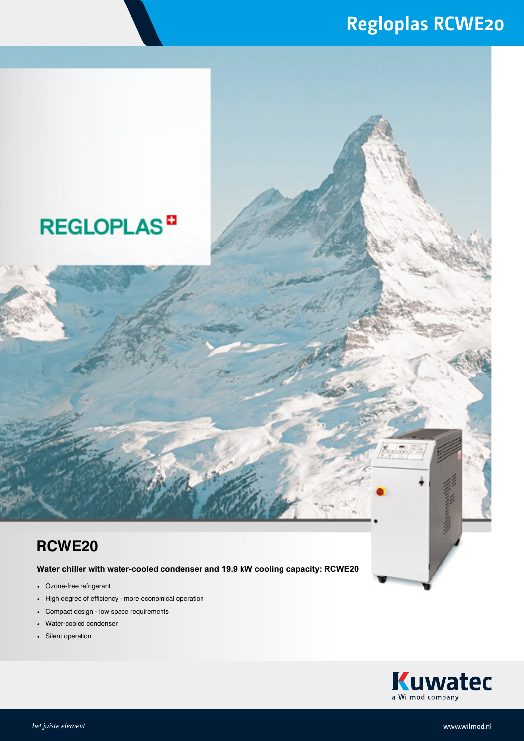### **Regloplas RCWE20**

## **REGLOPLAS<sup>D</sup>**

#### **RCWE20**

**Water chiller with water-cooled condenser and 19.9 kW cooling capacity: RCWE20**

- Ozone-free refrigerant
- High degree of efficiency more economical operation
- Compact design low space requirements
- Water-cooled condenser
- Silent operation